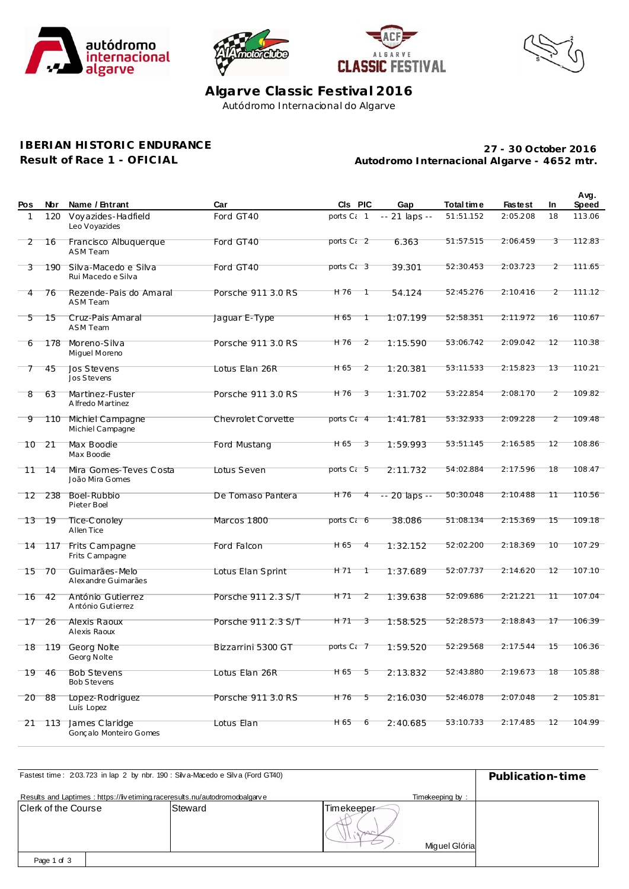







**Algarve Classic Festival 2016** Autódromo Internacional do Algarve

## **IBERIAN HISTORIC ENDURANCE**

**Result of Race 1 - OFICIAL**

**Autodromo Internacional Algarve - 4652 mtr. 27 - 30 October 2016**

| Pos      | Nbr             | Name / Entrant                             | Car                 | CIs PIC                | Gap            | Total time | <b>Fastest</b> | In | Avg.<br>Speed |
|----------|-----------------|--------------------------------------------|---------------------|------------------------|----------------|------------|----------------|----|---------------|
| 1        | 120             | Voyazides-Hadfield<br>Leo Voyazides        | Ford GT40           | ports C <sub>i</sub> 1 | -- 21 laps --  | 51:51.152  | 2:05.208       | 18 | 113.06        |
| 2        | 16              | Francisco Albuquerque<br><b>ASM Team</b>   | Ford GT40           | ports C <sub>i</sub> 2 | 6.363          | 51:57.515  | 2:06.459       | 3  | 112.83        |
| 3        | 190             | Silva-Macedo e Silva<br>Rui Macedo e Silva | Ford GT40           | ports C <sub>i</sub> 3 | 39.301         | 52:30.453  | 2:03.723       | 2  | 111.65        |
| 4        | 76              | Rezende-Pais do Amaral<br><b>ASM Team</b>  | Porsche 911 3.0 RS  | H 76<br>T              | 54.124         | 52:45.276  | 2:10.416       | 2  | 111.12        |
| 5        | 15              | Cruz-Pais Amaral<br><b>ASM Team</b>        | Jaquar E-Type       | H 65                   | 1:07.199       | 52:58.351  | 2:11.972       | 16 | 110.67        |
| 6        | 178             | Moreno-Silva<br>Miguel Moreno              | Porsche 911 3.0 RS  | H 76<br>$\overline{2}$ | 1:15.590       | 53:06.742  | 2:09.042       | 12 | 110.38        |
| 7        | 45              | Jos Stevens<br>Jos Stevens                 | Lotus Elan 26R      | H 65<br>$\overline{2}$ | 1:20.381       | 53:11.533  | 2:15.823       | 13 | 110.21        |
| 8        | 63              | Martinez-Fuster<br>A Ifredo Martinez       | Porsche 911 3.0 RS  | H 76<br>3              | 1:31.702       | 53:22.854  | 2:08.170       | 2  | 109.82        |
| 9        |                 | 110 Michiel Campagne<br>Michiel Campagne   | Chevrolet Corvette  | ports C <sub>i</sub> 4 | 1:41.781       | 53:32.933  | 2:09.228       | 2  | 109.48        |
| $10^{-}$ | $\overline{21}$ | Max Boodie<br>Max Boodie                   | Ford Mustang        | H 65<br>3              | 1:59.993       | 53:51.145  | 2:16.585       | 12 | 108.86        |
| 11       | 14              | Mira Gomes-Teves Costa<br>João Mira Gomes  | Lotus Seven         | ports C <sub>i</sub> 5 | 2:11.732       | 54:02.884  | 2:17.596       | 18 | 108.47        |
| 12       | 238             | Boel-Rubbio<br>Pieter Boel                 | De Tomaso Pantera   | H 76<br>4              | $-20$ laps $-$ | 50:30.048  | 2:10.488       | 11 | 110.56        |
| 13       | -19             | Tice-Conoley<br>Allen Tice                 | Marcos 1800         | ports C; 6             | 38.086         | 51:08.134  | 2:15.369       | 15 | 109.18        |
| 14       | 117             | Frits Campagne<br>Frits C ampagne          | Ford Falcon         | H 65<br>4              | 1:32.152       | 52:02.200  | 2:18.369       | 10 | 107.29        |
| 15       | 70              | Guimarães-Melo<br>Alexandre Guimarães      | Lotus Elan Sprint   | H 71                   | 1:37.689       | 52:07.737  | 2:14.620       | 12 | 107.10        |
| 16       | -42             | António Gutierrez<br>António Gutierrez     | Porsche 911 2.3 S/T | H 71<br>$\overline{2}$ | 1:39.638       | 52:09.686  | 2:21.221       | 11 | 107.04        |
| 17       | 26              | Alexis Raoux<br>Alexis Raoux               | Porsche 911 2.3 S/T | H 71<br>3              | 1:58.525       | 52:28.573  | 2:18.843       | 17 | 106.39        |
| 18       | 119             | Georg Nolte<br>Georg Nolte                 | Bizzarrini 5300 GT  | ports C: 7             | 1:59.520       | 52:29.568  | 2:17.544       | 15 | 106.36        |
|          | 19 46           | <b>Bob Stevens</b><br><b>Bob Stevens</b>   | Lotus Elan 26R      | H 65 5                 | 2:13.832       | 52:43.880  | 2:19.673       | 18 | 105.88        |
| 20       | -88             | Lopez-Rodriguez<br>Luís Lopez              | Porsche 911 3.0 RS  | $H76$ 5                | 2:16.030       | 52:46.078  | 2:07.048       | 2  | 105.81        |
| 21       | 113             | James Claridge<br>Gonçalo Monteiro Gomes   | Lotus Elan          | H 65<br>6              | 2:40.685       | 53:10.733  | 2:17.485       | 12 | 104.99        |

| Fastest time: 203.723 in lap 2 by nbr. 190: Silva-Macedo e Silva (Ford GT40) | Publication-time                                                           |            |                 |  |  |  |
|------------------------------------------------------------------------------|----------------------------------------------------------------------------|------------|-----------------|--|--|--|
|                                                                              | Results and Laptimes: https://livetiming.raceresults.nu/autodromodoalgarve |            | Timekeeping by: |  |  |  |
| Clerk of the Course                                                          | Steward                                                                    | Timekeeper |                 |  |  |  |
|                                                                              |                                                                            |            | Miguel Glória   |  |  |  |
| Page 1 of 3                                                                  |                                                                            |            |                 |  |  |  |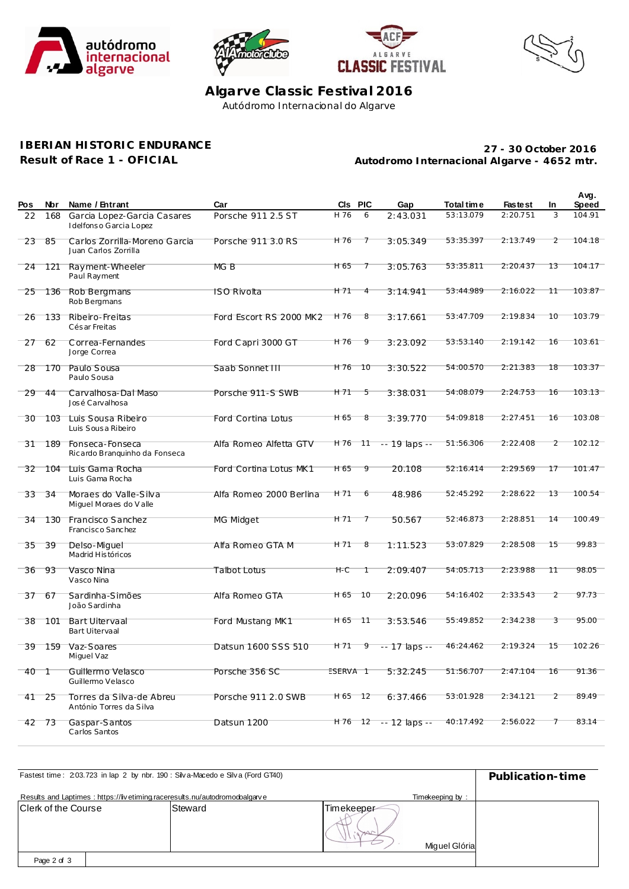







Algarve Classic Festival 2016 Autódromo Internacional do Algarve

## **IBERIAN HISTORIC ENDURANCE**

Result of Race 1 - OFICIAL

27 - 30 October 2016 Autodromo Internacional Algarve - 4652 mtr.

| Pos | Nbr     | Name / Entrant                                        | Car                     |                 | CIs PIC | Gap                  | Total time | <b>Fastest</b> | In             | Avg.<br><b>Speed</b> |
|-----|---------|-------------------------------------------------------|-------------------------|-----------------|---------|----------------------|------------|----------------|----------------|----------------------|
| 22  | 168     | Garcia Lopez-Garcia Casares<br>Idelfonso Garcia Lopez | Porsche 911 2.5 ST      | H 76            | 6       | 2:43.031             | 53:13.079  | 2:20.751       | 3              | 104.91               |
| 23  | 85      | Carlos Zorrilla-Moreno Garcia<br>Juan Carlos Zorrilla | Porsche 911 3.0 RS      | H 76            | 7       | 3:05.349             | 53:35.397  | 2:13.749       | $\overline{2}$ | 104.18               |
| 24  | 121     | Rayment-Wheeler<br>Paul Rayment                       | MG B                    | H 65            | 7       | 3:05.763             | 53:35.811  | 2:20.437       | 13             | 104.17               |
| 25  | 136     | Rob Bergmans<br>Rob Bergmans                          | <b>ISO Rivolta</b>      | H 71            | 4       | 3:14.941             | 53:44.989  | 2:16.022       | 11             | 103.87               |
| 26  | 133     | Ribeiro-Freitas<br>Cés ar Freitas                     | Ford Escort RS 2000 MK2 | H 76            | 8       | 3:17.661             | 53:47.709  | 2:19.834       | 10             | 103.79               |
| 27  | 62      | Correa-Fernandes<br>Jorge Correa                      | Ford Capri 3000 GT      | H 76            | 9       | 3:23.092             | 53:53.140  | 2:19.142       | 16             | 103.61               |
| 28  | 170     | Paulo Sousa<br>Paulo Sousa                            | Saab Sonnet III         | H 76            | 10      | 3:30.522             | 54:00.570  | 2:21.383       | 18             | 103.37               |
| 29  | 44      | Carvalhosa-Dal Maso<br>José Carvalhosa                | Porsche 911-S SWB       | H 71            | 5       | 3:38.031             | 54:08.079  | 2:24.753       | 16             | 103.13               |
| 30  | $103 -$ | Luis Sousa Ribeiro<br>Luis Sousa Ribeiro              | Ford Cortina Lotus      | H 65            | 8       | 3:39.770             | 54:09.818  | 2:27.451       | 16             | 103.08               |
| 31  | 189     | Fonseca-Fonseca<br>Ricardo Branquinho da Fonseca      | Alfa Romeo Alfetta GTV  | H 76 11         |         | $-19$ laps $-$       | 51:56.306  | 2:22.408       | 2              | 102.12               |
| 32  | 104     | Luis Gama Rocha<br>Luis Gama Rocha                    | Ford Cortina Lotus MK1  | H 65            | 9       | 20.108               | 52:16.414  | 2:29.569       | 17             | 101.47               |
| 33  | -34     | Moraes do Valle-Silva<br>Miguel Moraes do Valle       | Alfa Romeo 2000 Berlina | H 71            | 6       | 48.986               | 52:45.292  | 2:28.622       | 13             | 100.54               |
| 34  | 130     | Francisco Sanchez<br>Francisco Sanchez                | MG Midget               | H 71            | 7       | 50.567               | 52:46.873  | 2:28.851       | 14             | 100.49               |
| 35  | 39      | Delso-Miquel<br>Madrid Históricos                     | Alfa Romeo GTA M        | H <sub>71</sub> | 8       | 1:11.523             | 53:07.829  | 2:28.508       | 15             | 99.83                |
| 36  | 93      | Vasco Nina<br>Vasco Nina                              | <b>Talbot Lotus</b>     | $H-C$           | Τ       | 2:09.407             | 54:05.713  | 2:23.988       | 11             | 98.05                |
| 37  | 67      | Sardinha-Simões<br>João Sardinha                      | Alfa Romeo GTA          | H 65            | $-10$   | 2:20.096             | 54:16.402  | 2:33.543       | $\overline{2}$ | 97.73                |
| 38  | 101     | <b>Bart Uitervaal</b><br><b>Bart Uitervaal</b>        | Ford Mustang MK1        | H 65 11         |         | 3:53.546             | 55:49.852  | 2:34.238       | 3              | 95.00                |
| 39  | 159     | Vaz-Soares<br>Miguel Vaz                              | Datsun 1600 SSS 510     | H 71            | 9       | $-17$ laps $-$       | 46:24.462  | 2:19.324       | 15             | 102.26               |
| 40  | - 1     | Guillermo Velasco<br>Guillermo Velasco                | Porsche 356 SC          | ESERVA 1        |         | 5:32.245             | 51:56.707  | 2:47.104       | 16             | 91.36                |
| 41  | $-25$   | Torres da Silva-de Abreu<br>António Torres da Silva   | Porsche 911 2.0 SWB     | H65 12          |         | 6:37.466             | 53:01.928  | 2:34.121       | $\overline{2}$ | 89.49                |
|     | 42 73   | Gaspar-Santos<br>Carlos Santos                        | Datsun 1200             |                 |         | $H76$ 12 - 12 laps - | 40:17.492  | 2:56.022       | 7              | 83.14                |

| Fastest time: 203.723 in lap 2 by nbr. 190: Silva-Macedo e Silva (Ford GT40) | Publication-time                                                           |            |                 |  |
|------------------------------------------------------------------------------|----------------------------------------------------------------------------|------------|-----------------|--|
|                                                                              | Results and Laptimes: https://livetiming.raceresults.nu/autodromodoalgarve |            | Timekeeping by: |  |
| Clerk of the Course                                                          | Steward                                                                    | Timekeeper |                 |  |
|                                                                              |                                                                            |            | Miguel Glória   |  |
| Page 2 of 3                                                                  |                                                                            |            |                 |  |